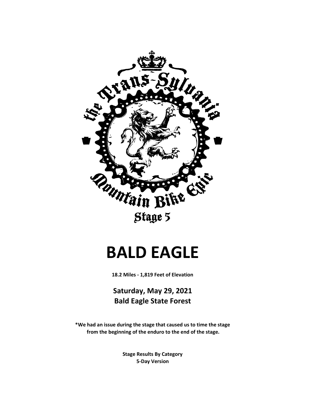

# **BALD EAGLE**

**18.2 Miles - 1,819 Feet of Elevation**

**Saturday, May 29, 2021 Bald Eagle State Forest**

**\*We had an issue during the stage that caused us to time the stage from the beginning of the enduro to the end of the stage.**

> **Stage Results By Category 5-Day Version**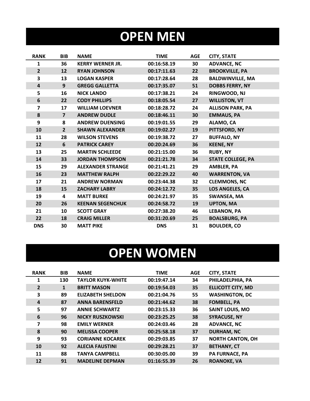## **OPEN MEN**

| <b>RANK</b>             | <b>BIB</b>     | <b>NAME</b>              | <b>TIME</b> | <b>AGE</b> | <b>CITY, STATE</b>       |
|-------------------------|----------------|--------------------------|-------------|------------|--------------------------|
| 1                       | 36             | <b>KERRY WERNER JR.</b>  | 00:16:58.19 | 30         | <b>ADVANCE, NC</b>       |
| $\overline{2}$          | 12             | <b>RYAN JOHNSON</b>      | 00:17:11.63 | 22         | <b>BROOKVILLE, PA</b>    |
| 3                       | 13             | <b>LOGAN KASPER</b>      | 00:17:28.64 | 28         | <b>BALDWINVILLE, MA</b>  |
| $\overline{\mathbf{4}}$ | 9              | <b>GREGG GALLETTA</b>    | 00:17:35.07 | 51         | <b>DOBBS FERRY, NY</b>   |
| 5                       | 16             | <b>NICK LANDO</b>        | 00:17:38.21 | 24         | RINGWOOD, NJ             |
| 6                       | 22             | <b>CODY PHILLIPS</b>     | 00:18:05.54 | 27         | <b>WILLISTON, VT</b>     |
| $\overline{\mathbf{z}}$ | 17             | <b>WILLIAM LOEVNER</b>   | 00:18:28.72 | 24         | <b>ALLISON PARK, PA</b>  |
| 8                       | $\overline{7}$ | <b>ANDREW DUDLE</b>      | 00:18:46.11 | 30         | <b>EMMAUS, PA</b>        |
| 9                       | 8              | <b>ANDREW DUENSING</b>   | 00:19:01.55 | 29         | ALAMO, CA                |
| 10                      | $\overline{2}$ | <b>SHAWN ALEXANDER</b>   | 00:19:02.27 | 19         | PITTSFORD, NY            |
| 11                      | 28             | <b>WILSON STEVENS</b>    | 00:19:38.72 | 27         | <b>BUFFALO, NY</b>       |
| 12                      | 6              | <b>PATRICK CAREY</b>     | 00:20:24.69 | 36         | <b>KEENE, NY</b>         |
| 13                      | 25             | <b>MARTIN SCHLEEDE</b>   | 00:21:15.00 | 36         | <b>RUBY, NY</b>          |
| 14                      | 33             | <b>JORDAN THOMPSON</b>   | 00:21:21.78 | 34         | <b>STATE COLLEGE, PA</b> |
| 15                      | 29             | <b>ALEXANDER STRANGE</b> | 00:21:41.21 | 29         | <b>AMBLER, PA</b>        |
| 16                      | 23             | <b>MATTHEW RALPH</b>     | 00:22:29.22 | 40         | <b>WARRENTON, VA</b>     |
| 17                      | 21             | <b>ANDREW NORMAN</b>     | 00:23:44.38 | 32         | <b>CLEMMONS, NC</b>      |
| 18                      | 15             | <b>ZACHARY LABRY</b>     | 00:24:12.72 | 35         | LOS ANGELES, CA          |
| 19                      | 4              | <b>MATT BURKE</b>        | 00:24:21.97 | 35         | <b>SWANSEA, MA</b>       |
| 20                      | 26             | <b>KEENAN SEGENCHUK</b>  | 00:24:58.72 | 19         | <b>UPTON, MA</b>         |
| 21                      | 10             | <b>SCOTT GRAY</b>        | 00:27:38.20 | 46         | <b>LEBANON, PA</b>       |
| 22                      | 18             | <b>CRAIG MILLER</b>      | 00:31:20.69 | 25         | <b>BOALSBURG, PA</b>     |
| <b>DNS</b>              | 30             | <b>MATT PIKE</b>         | <b>DNS</b>  | 31         | <b>BOULDER, CO</b>       |

## **OPEN WOMEN**

| <b>RANK</b>             | <b>BIB</b> | <b>NAME</b>              | <b>TIME</b> | <b>AGE</b> | <b>CITY, STATE</b>       |
|-------------------------|------------|--------------------------|-------------|------------|--------------------------|
| 1                       | 130        | <b>TAYLOR KUYK-WHITE</b> | 00:19:47.14 | 34         | PHILADELPHIA, PA         |
| $\overline{2}$          | 1          | <b>BRITT MASON</b>       | 00:19:54.03 | 35         | <b>ELLICOTT CITY, MD</b> |
| 3                       | 89         | <b>ELIZABETH SHELDON</b> | 00:21:04.76 | 55         | <b>WASHINGTON, DC</b>    |
| 4                       | 87         | <b>ANNA BARENSFELD</b>   | 00:21:44.62 | 38         | <b>FOMBELL, PA</b>       |
| 5                       | 97         | <b>ANNIE SCHWARTZ</b>    | 00:23:15.33 | 36         | <b>SAINT LOUIS, MO</b>   |
| 6                       | 96         | <b>NICKY RUSZKOWSKI</b>  | 00:23:25.25 | 38         | <b>SYRACUSE, NY</b>      |
| $\overline{\mathbf{z}}$ | 98         | <b>EMILY WERNER</b>      | 00:24:03.46 | 28         | <b>ADVANCE, NC</b>       |
| 8                       | 90         | <b>MELISSA COOPER</b>    | 00:25:58.18 | 37         | <b>DURHAM, NC</b>        |
| 9                       | 93         | <b>CORIANNE KOCAREK</b>  | 00:29:03.85 | 37         | <b>NORTH CANTON, OH</b>  |
| 10                      | 92         | <b>ALECIA FAUSTINI</b>   | 00:29:28.21 | 37         | <b>BETHANY, CT</b>       |
| 11                      | 88         | <b>TANYA CAMPBELL</b>    | 00:30:05.00 | 39         | <b>PA FURNACE, PA</b>    |
| 12                      | 91         | <b>MADELINE DEPMAN</b>   | 01:16:55.39 | 26         | <b>ROANOKE, VA</b>       |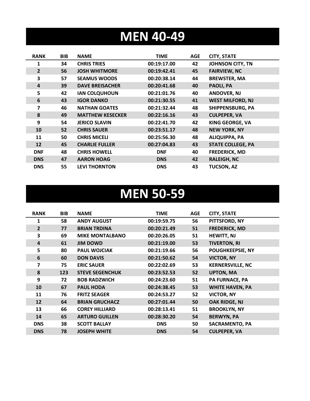### **MEN 40-49**

| <b>RANK</b>    | <b>BIB</b> | <b>NAME</b>             | <b>TIME</b> | AGE | <b>CITY, STATE</b>       |
|----------------|------------|-------------------------|-------------|-----|--------------------------|
| 1              | 34         | <b>CHRIS TRIES</b>      | 00:19:17.00 | 42  | <b>JOHNSON CITY, TN</b>  |
| $\overline{2}$ | 56         | <b>JOSH WHITMORE</b>    | 00:19:42.41 | 45  | <b>FAIRVIEW, NC</b>      |
| 3              | 57         | <b>SEAMUS WOODS</b>     | 00:20:38.14 | 44  | <b>BREWSTER, MA</b>      |
| 4              | 39         | <b>DAVE BREISACHER</b>  | 00:20:41.68 | 40  | PAOLI, PA                |
| 5              | 42         | <b>IAN COLQUHOUN</b>    | 00:21:01.76 | 40  | <b>ANDOVER, NJ</b>       |
| 6              | 43         | <b>IGOR DANKO</b>       | 00:21:30.55 | 41  | <b>WEST MILFORD, NJ</b>  |
| 7              | 46         | <b>NATHAN GOATES</b>    | 00:21:32.44 | 48  | SHIPPENSBURG, PA         |
| 8              | 49         | <b>MATTHEW KESECKER</b> | 00:22:16.16 | 43  | <b>CULPEPER, VA</b>      |
| 9              | 54         | <b>JERICO SLAVIN</b>    | 00:22:41.70 | 42  | <b>KING GEORGE, VA</b>   |
| 10             | 52         | <b>CHRIS SAUER</b>      | 00:23:51.17 | 48  | <b>NEW YORK, NY</b>      |
| 11             | 50         | <b>CHRIS MICELI</b>     | 00:25:56.30 | 48  | <b>ALIQUIPPA, PA</b>     |
| 12             | 45         | <b>CHARLIE FULLER</b>   | 00:27:04.83 | 43  | <b>STATE COLLEGE, PA</b> |
| <b>DNF</b>     | 48         | <b>CHRIS HOWELL</b>     | <b>DNF</b>  | 40  | <b>FREDERICK, MD</b>     |
| <b>DNS</b>     | 47         | <b>AARON HOAG</b>       | <b>DNS</b>  | 42  | <b>RALEIGH, NC</b>       |
| <b>DNS</b>     | 55         | <b>LEVI THORNTON</b>    | <b>DNS</b>  | 43  | <b>TUCSON, AZ</b>        |

#### **MEN 50-59**

| <b>RANK</b>    | <b>BIB</b> | <b>NAME</b>            | TIME        | AGE | <b>CITY, STATE</b>      |
|----------------|------------|------------------------|-------------|-----|-------------------------|
| 1              | 58         | <b>ANDY AUGUST</b>     | 00:19:59.75 | 56  | PITTSFORD, NY           |
| $\overline{2}$ | 77         | <b>BRIAN TRDINA</b>    | 00:20:21.49 | 51  | <b>FREDERICK, MD</b>    |
| 3              | 69         | <b>MIKE MONTALBANO</b> | 00:20:26.05 | 51  | <b>HEWITT, NJ</b>       |
| $\overline{4}$ | 61         | <b>JIM DOWD</b>        | 00:21:19.00 | 53  | <b>TIVERTON, RI</b>     |
| 5              | 80         | <b>PAUL WOJCIAK</b>    | 00:21:19.66 | 56  | <b>POUGHKEEPSIE, NY</b> |
| 6              | 60         | <b>DON DAVIS</b>       | 00:21:50.62 | 54  | <b>VICTOR, NY</b>       |
| 7              | 75         | <b>ERIC SAUER</b>      | 00:22:02.69 | 53  | <b>KERNERSVILLE, NC</b> |
| 8              | 123        | <b>STEVE SEGENCHUK</b> | 00:23:52.53 | 52  | <b>UPTON, MA</b>        |
| 9              | 72         | <b>BOB RADZWICH</b>    | 00:24:23.60 | 51  | <b>PA FURNACE, PA</b>   |
| 10             | 67         | <b>PAUL HODA</b>       | 00:24:38.45 | 53  | <b>WHITE HAVEN, PA</b>  |
| 11             | 76         | <b>FRITZ SEAGER</b>    | 00:24:53.27 | 52  | <b>VICTOR, NY</b>       |
| 12             | 64         | <b>BRIAN GRUCHACZ</b>  | 00:27:01.44 | 50  | OAK RIDGE, NJ           |
| 13             | 66         | <b>COREY HILLIARD</b>  | 00:28:13.41 | 51  | <b>BROOKLYN, NY</b>     |
| 14             | 65         | <b>ARTURO GUILLEN</b>  | 00:28:30.20 | 54  | <b>BERWYN, PA</b>       |
| <b>DNS</b>     | 38         | <b>SCOTT BALLAY</b>    | <b>DNS</b>  | 50  | <b>SACRAMENTO, PA</b>   |
| <b>DNS</b>     | 78         | <b>JOSEPH WHITE</b>    | <b>DNS</b>  | 54  | <b>CULPEPER, VA</b>     |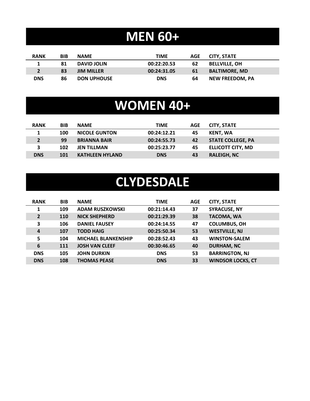### **MEN 60+**

| <b>RANK</b> | BIB | <b>NAME</b>        | TIME        | AGE | <b>CITY, STATE</b>     |
|-------------|-----|--------------------|-------------|-----|------------------------|
|             | 81  | <b>DAVID JOLIN</b> | 00:22:20.53 | 62  | <b>BELLVILLE, OH</b>   |
|             | 83  | <b>JIM MILLER</b>  | 00:24:31.05 | 61  | <b>BALTIMORE, MD</b>   |
| <b>DNS</b>  | 86  | <b>DON UPHOUSE</b> | <b>DNS</b>  | 64  | <b>NEW FREEDOM. PA</b> |

### **WOMEN 40+**

| <b>RANK</b> | <b>BIB</b> | <b>NAME</b>            | <b>TIME</b> | AGE. | <b>CITY, STATE</b>       |
|-------------|------------|------------------------|-------------|------|--------------------------|
|             | 100        | <b>NICOLE GUNTON</b>   | 00:24:12.21 | 45   | KENT, WA                 |
| $2^{\circ}$ | 99         | <b>BRIANNA BAIR</b>    | 00:24:55.73 | 42   | <b>STATE COLLEGE, PA</b> |
| 3           | 102        | <b>JEN TILLMAN</b>     | 00:25:23.77 | 45   | <b>ELLICOTT CITY, MD</b> |
| <b>DNS</b>  | 101        | <b>KATHLEEN HYLAND</b> | <b>DNS</b>  | 43   | <b>RALEIGH, NC</b>       |

#### **CLYDESDALE**

| <b>RANK</b>    | <b>BIB</b> | <b>NAME</b>                | <b>TIME</b> | <b>AGE</b> | <b>CITY, STATE</b>       |
|----------------|------------|----------------------------|-------------|------------|--------------------------|
|                | 109        | <b>ADAM RUSZKOWSKI</b>     | 00:21:14.43 | 37         | <b>SYRACUSE, NY</b>      |
| $\overline{2}$ | 110        | <b>NICK SHEPHERD</b>       | 00:21:29.39 | 38         | <b>TACOMA, WA</b>        |
| 3              | 106        | <b>DANIEL FAUSEY</b>       | 00:24:14.55 | 47         | <b>COLUMBUS, OH</b>      |
| $\overline{a}$ | 107        | <b>TODD HAIG</b>           | 00:25:50.34 | 53         | <b>WESTVILLE, NJ</b>     |
| 5              | 104        | <b>MICHAEL BLANKENSHIP</b> | 00:28:52.43 | 43         | <b>WINSTON-SALEM</b>     |
| 6              | 111        | <b>JOSH VAN CLEEF</b>      | 00:30:46.65 | 40         | <b>DURHAM, NC</b>        |
| <b>DNS</b>     | 105        | <b>JOHN DURKIN</b>         | <b>DNS</b>  | 53         | <b>BARRINGTON, NJ</b>    |
| <b>DNS</b>     | 108        | <b>THOMAS PEASE</b>        | <b>DNS</b>  | 33         | <b>WINDSOR LOCKS, CT</b> |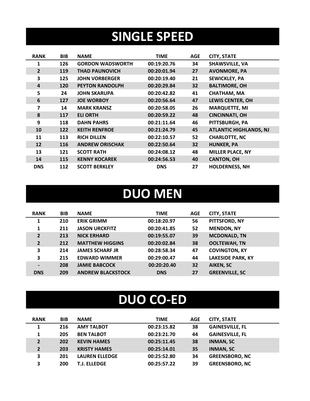## **SINGLE SPEED**

| <b>RANK</b>    | <b>BIB</b> | <b>NAME</b>             | <b>TIME</b> | <b>AGE</b> | <b>CITY, STATE</b>            |
|----------------|------------|-------------------------|-------------|------------|-------------------------------|
|                | 126        | <b>GORDON WADSWORTH</b> | 00:19:20.76 | 34         | <b>SHAWSVILLE, VA</b>         |
| $\overline{2}$ | 119        | <b>THAD PAUNOVICH</b>   | 00:20:01.94 | 27         | <b>AVONMORE, PA</b>           |
| 3              | 125        | <b>JOHN VORBERGER</b>   | 00:20:19.40 | 21         | <b>SEWICKLEY, PA</b>          |
| 4              | 120        | <b>PEYTON RANDOLPH</b>  | 00:20:29.84 | 32         | <b>BALTIMORE, OH</b>          |
| 5              | 24         | <b>JOHN SKARUPA</b>     | 00:20:42.82 | 41         | <b>CHATHAM, MA</b>            |
| 6              | 127        | <b>JOE WORBOY</b>       | 00:20:56.64 | 47         | <b>LEWIS CENTER, OH</b>       |
| 7              | 14         | <b>MARK KRANSZ</b>      | 00:20:58.05 | 26         | <b>MARQUETTE, MI</b>          |
| 8              | 117        | <b>ELI ORTH</b>         | 00:20:59.22 | 48         | <b>CINCINNATI, OH</b>         |
| 9              | 118        | <b>DAHN PAHRS</b>       | 00:21:11.64 | 46         | PITTSBURGH, PA                |
| 10             | 122        | <b>KEITH RENFROE</b>    | 00:21:24.79 | 45         | <b>ATLANTIC HIGHLANDS, NJ</b> |
| 11             | 113        | <b>RICH DILLEN</b>      | 00:22:10.57 | 52         | <b>CHARLOTTE, NC</b>          |
| 12             | 116        | <b>ANDREW ORISCHAK</b>  | 00:22:50.64 | 32         | <b>HUNKER, PA</b>             |
| 13             | 121        | <b>SCOTT RATH</b>       | 00:24:08.12 | 48         | <b>MILLER PLACE, NY</b>       |
| 14             | 115        | <b>KENNY KOCAREK</b>    | 00:24:56.53 | 40         | <b>CANTON, OH</b>             |
| <b>DNS</b>     | 112        | <b>SCOTT BERKLEY</b>    | <b>DNS</b>  | 27         | <b>HOLDERNESS, NH</b>         |

#### **DUO MEN**

| <b>RANK</b>    | <b>BIB</b> | <b>NAME</b>              | <b>TIME</b> | <b>AGE</b> | <b>CITY, STATE</b>       |
|----------------|------------|--------------------------|-------------|------------|--------------------------|
| 1              | 210        | <b>ERIK GRIMM</b>        | 00:18:20.97 | 56         | PITTSFORD, NY            |
| 1              | 211        | <b>JASON URCKFITZ</b>    | 00:20:41.85 | 52         | <b>MENDON, NY</b>        |
| $\overline{2}$ | 213        | <b>NICK ERHARD</b>       | 00:19:55.07 | 39         | <b>MCDONALD, TN</b>      |
| $\overline{2}$ | 212        | <b>MATTHEW HIGGINS</b>   | 00:20:02.84 | 38         | <b>OOLTEWAH, TN</b>      |
| 3              | 214        | <b>JAMES SCHARF JR</b>   | 00:28:58.34 | 47         | <b>COVINGTON, KY</b>     |
| 3              | 215        | <b>EDWARD WIMMER</b>     | 00:29:00.47 | 44         | <b>LAKESIDE PARK, KY</b> |
| $\blacksquare$ | 208        | <b>JAMIE BABCOCK</b>     | 00:20:20.40 | 32         | <b>AIKEN, SC</b>         |
| <b>DNS</b>     | 209        | <b>ANDREW BLACKSTOCK</b> | <b>DNS</b>  | 27         | <b>GREENVILLE, SC</b>    |

### **DUO CO-ED**

| <b>RANK</b>    | <b>BIB</b> | <b>NAME</b>           | <b>TIME</b> | <b>AGE</b> | <b>CITY, STATE</b>     |
|----------------|------------|-----------------------|-------------|------------|------------------------|
| 1              | 216        | <b>AMY TALBOT</b>     | 00:23:15.82 | 38         | <b>GAINESVILLE, FL</b> |
| 1              | 205        | <b>BEN TALBOT</b>     | 00:23:21.70 | 44         | <b>GAINESVILLE, FL</b> |
| $\overline{2}$ | 202        | <b>KEVIN HAMES</b>    | 00:25:11.45 | 38         | <b>INMAN, SC</b>       |
| 2 <sup>2</sup> | 203        | <b>KRISTY HAMES</b>   | 00:25:14.01 | 35         | <b>INMAN, SC</b>       |
| 3              | 201        | <b>LAUREN ELLEDGE</b> | 00:25:52.80 | 34         | <b>GREENSBORO, NC</b>  |
| 3              | 200        | <b>T.J. ELLEDGE</b>   | 00:25:57.22 | 39         | <b>GREENSBORO, NC</b>  |